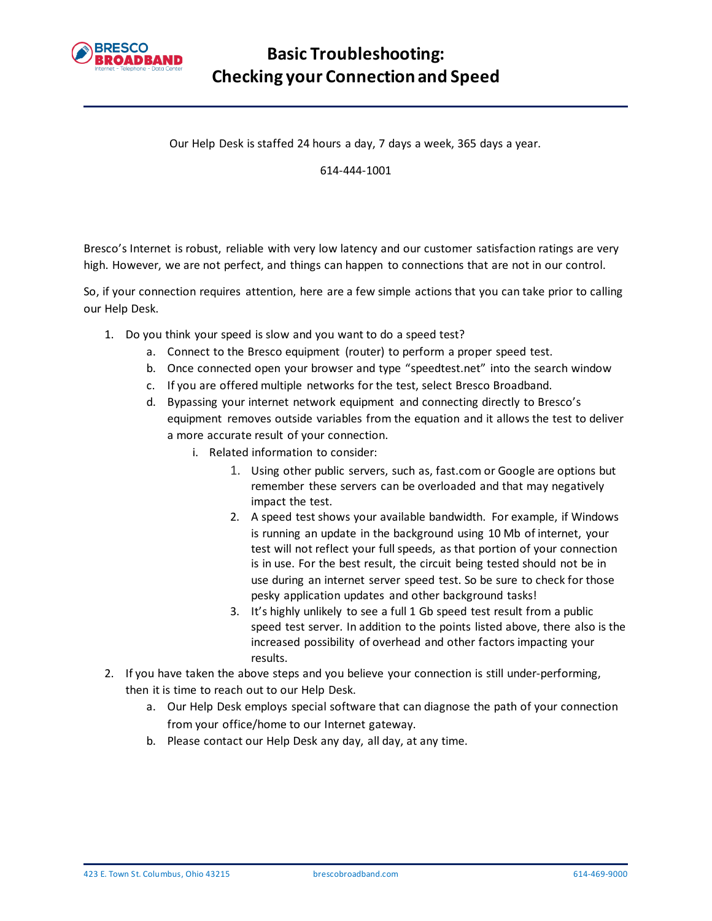

Our Help Desk is staffed 24 hours a day, 7 days a week, 365 days a year.

614-444-1001

Bresco's Internet is robust, reliable with very low latency and our customer satisfaction ratings are very high. However, we are not perfect, and things can happen to connections that are not in our control.

So, if your connection requires attention, here are a few simple actions that you can take prior to calling our Help Desk.

- 1. Do you think your speed is slow and you want to do a speed test?
	- a. Connect to the Bresco equipment (router) to perform a proper speed test.
	- b. Once connected open your browser and type "speedtest.net" into the search window
	- c. If you are offered multiple networks for the test, select Bresco Broadband.
	- d. Bypassing your internet network equipment and connecting directly to Bresco's equipment removes outside variables from the equation and it allows the test to deliver a more accurate result of your connection.
		- i. Related information to consider:
			- 1. Using other public servers, such as, fast.com or Google are options but remember these servers can be overloaded and that may negatively impact the test.
			- 2. A speed test shows your available bandwidth. For example, if Windows is running an update in the background using 10 Mb of internet, your test will not reflect your full speeds, as that portion of your connection is in use. For the best result, the circuit being tested should not be in use during an internet server speed test. So be sure to check for those pesky application updates and other background tasks!
			- 3. It's highly unlikely to see a full 1 Gb speed test result from a public speed test server. In addition to the points listed above, there also is the increased possibility of overhead and other factors impacting your results.
- 2. If you have taken the above steps and you believe your connection is still under-performing, then it is time to reach out to our Help Desk.
	- a. Our Help Desk employs special software that can diagnose the path of your connection from your office/home to our Internet gateway.
	- b. Please contact our Help Desk any day, all day, at any time.